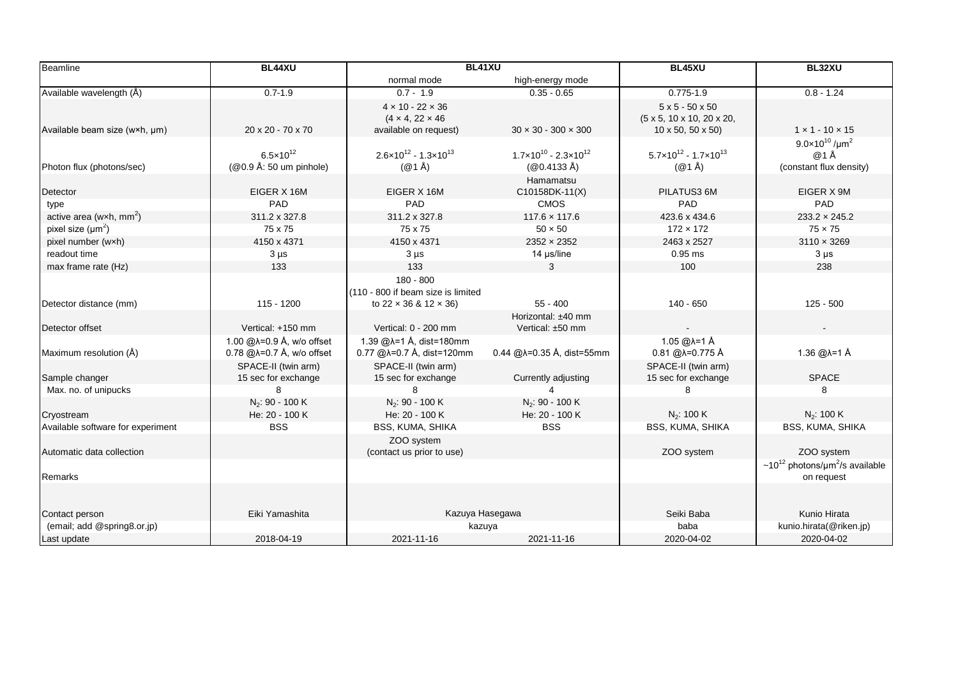| <b>Beamline</b>                              | BL44XU                                                                          | BL41XU                                                                                  |                                                                    | BL45XU                                                                                      | BL32XU                                                                     |
|----------------------------------------------|---------------------------------------------------------------------------------|-----------------------------------------------------------------------------------------|--------------------------------------------------------------------|---------------------------------------------------------------------------------------------|----------------------------------------------------------------------------|
|                                              |                                                                                 | normal mode                                                                             | high-energy mode                                                   |                                                                                             |                                                                            |
| Available wavelength (Å)                     | $0.7 - 1.9$                                                                     | $0.7 - 1.9$                                                                             | $0.35 - 0.65$                                                      | $0.775 - 1.9$                                                                               | $0.8 - 1.24$                                                               |
| Available beam size (w×h, µm)                | 20 x 20 - 70 x 70                                                               | $4 \times 10 - 22 \times 36$<br>$(4 \times 4, 22 \times 46)$<br>available on request)   | $30 \times 30 - 300 \times 300$                                    | $5x5 - 50x50$<br>$(5 \times 5, 10 \times 10, 20 \times 20,$<br>$10 \times 50, 50 \times 50$ | $1 \times 1 - 10 \times 15$                                                |
| Photon flux (photons/sec)                    | $6.5 \times 10^{12}$<br>(@0.9 Å: 50 um pinhole)                                 | $2.6 \times 10^{12} - 1.3 \times 10^{13}$<br>$(@1 \AA)$                                 | $1.7 \times 10^{10} - 2.3 \times 10^{12}$<br>$(@0.4133 \text{ Å})$ | $5.7 \times 10^{12} - 1.7 \times 10^{13}$<br>$(@1 \AA)$                                     | $9.0 \times 10^{10}$ /um <sup>2</sup><br>@1Å<br>(constant flux density)    |
| Detector                                     | EIGER X 16M                                                                     | EIGER X 16M                                                                             | Hamamatsu<br>C10158DK-11(X)                                        | PILATUS3 6M                                                                                 | EIGER X 9M                                                                 |
| type<br>active area (wxh, $mm2$ )            | PAD<br>311.2 x 327.8<br>75 x 75                                                 | PAD<br>311.2 x 327.8<br>75 x 75                                                         | <b>CMOS</b><br>$117.6 \times 117.6$<br>$50 \times 50$              | PAD<br>423.6 x 434.6<br>$172 \times 172$                                                    | PAD<br>$233.2 \times 245.2$<br>$75 \times 75$                              |
| pixel size $(\mu m^2)$<br>pixel number (wxh) | 4150 x 4371                                                                     | 4150 x 4371                                                                             | $2352 \times 2352$                                                 | 2463 x 2527                                                                                 | $3110 \times 3269$                                                         |
| readout time                                 | $3 \mu s$                                                                       | $3 \mu s$                                                                               | 14 µs/line                                                         | $0.95$ ms                                                                                   | $3 \mu s$                                                                  |
| max frame rate (Hz)                          | 133                                                                             | 133                                                                                     | 3                                                                  | 100                                                                                         | 238                                                                        |
| Detector distance (mm)                       | 115 - 1200                                                                      | 180 - 800<br>(110 - 800 if beam size is limited<br>to $22 \times 36$ & $12 \times 36$ ) | $55 - 400$                                                         | 140 - 650                                                                                   | $125 - 500$                                                                |
| Detector offset                              | Vertical: +150 mm                                                               | Vertical: 0 - 200 mm                                                                    | Horizontal: ±40 mm<br>Vertical: ±50 mm                             |                                                                                             |                                                                            |
| Maximum resolution (Å)                       | 1.00 $@$ $\lambda = 0.9$ Å, w/o offset<br>$0.78$ @ $\lambda$ =0.7 Å, w/o offset | 1.39 @λ=1 Å, dist=180mm<br>0.77 @λ=0.7 Å, dist=120mm                                    | $0.44$ @ $\lambda$ =0.35 Å, dist=55mm                              | 1.05 @λ=1 Å<br>0.81 @λ=0.775 Å                                                              | 1.36 @λ=1 Å                                                                |
| Sample changer                               | SPACE-II (twin arm)<br>15 sec for exchange                                      | SPACE-II (twin arm)<br>15 sec for exchange                                              | Currently adjusting                                                | SPACE-II (twin arm)<br>15 sec for exchange                                                  | <b>SPACE</b>                                                               |
| Max. no. of unipucks                         | я                                                                               | 8                                                                                       |                                                                    |                                                                                             | 8                                                                          |
| Cryostream                                   | $N_2$ : 90 - 100 K<br>He: 20 - 100 K                                            | $N_2$ : 90 - 100 K<br>He: 20 - 100 K                                                    | $N_2$ : 90 - 100 K<br>He: 20 - 100 K                               | $N_2$ : 100 K                                                                               | $N_2$ : 100 K                                                              |
| Available software for experiment            | <b>BSS</b>                                                                      | BSS, KUMA, SHIKA<br>ZOO system                                                          | <b>BSS</b>                                                         | BSS, KUMA, SHIKA                                                                            | <b>BSS, KUMA, SHIKA</b>                                                    |
| Automatic data collection                    |                                                                                 | (contact us prior to use)                                                               |                                                                    | ZOO system                                                                                  | ZOO system                                                                 |
| Remarks                                      |                                                                                 |                                                                                         |                                                                    |                                                                                             | ~10 <sup>12</sup> photons/ $\mu$ m <sup>2</sup> /s available<br>on request |
|                                              |                                                                                 |                                                                                         |                                                                    |                                                                                             |                                                                            |
| Contact person                               | Eiki Yamashita                                                                  | Kazuya Hasegawa                                                                         |                                                                    | Seiki Baba                                                                                  | Kunio Hirata                                                               |
| (email; add @spring8.or.jp)                  |                                                                                 | kazuya                                                                                  |                                                                    | baba                                                                                        | kunio.hirata(@riken.jp)                                                    |
| Last update                                  | 2018-04-19                                                                      | 2021-11-16                                                                              | 2021-11-16                                                         | 2020-04-02                                                                                  | 2020-04-02                                                                 |